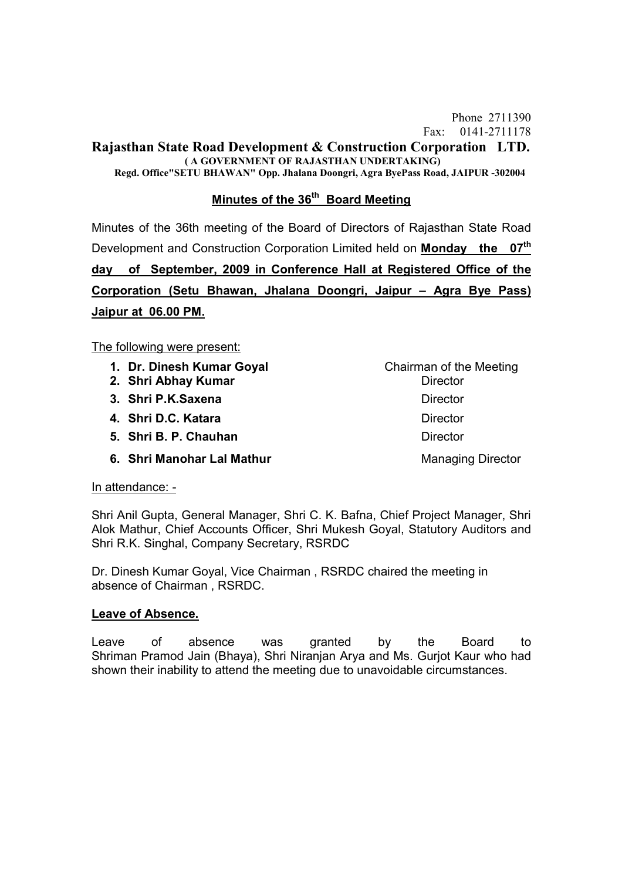#### **Rajasthan State Road Development & Construction Corporation LTD. ( A GOVERNMENT OF RAJASTHAN UNDERTAKING)**

**Regd. Office"SETU BHAWAN" Opp. Jhalana Doongri, Agra ByePass Road, JAIPUR -302004**

# **Minutes of the 36th Board Meeting**

Minutes of the 36th meeting of the Board of Directors of Rajasthan State Road Development and Construction Corporation Limited held on **Monday the 07th day of September, 2009 in Conference Hall at Registered Office of the Corporation (Setu Bhawan, Jhalana Doongri, Jaipur – Agra Bye Pass) Jaipur at 06.00 PM.**

#### The following were present:

- **1. Dr. Dinesh Kumar Goval**  Chairman of the Meeting
- **2. Shri Abhay Kumar** Director
- **3. Shri P.K.Saxena** Director
- **4. Shri D.C. Katara** Director
- **5. Shri B. P. Chauhan** Director
- **6. Shri Manohar Lal Mathur Managing Director Managing Director**

### In attendance: -

Shri Anil Gupta, General Manager, Shri C. K. Bafna, Chief Project Manager, Shri Alok Mathur, Chief Accounts Officer, Shri Mukesh Goyal, Statutory Auditors and Shri R.K. Singhal, Company Secretary, RSRDC

Dr. Dinesh Kumar Goyal, Vice Chairman , RSRDC chaired the meeting in absence of Chairman , RSRDC.

### **Leave of Absence.**

Leave of absence was granted by the Board to Shriman Pramod Jain (Bhaya), Shri Niranjan Arya and Ms. Gurjot Kaur who had shown their inability to attend the meeting due to unavoidable circumstances.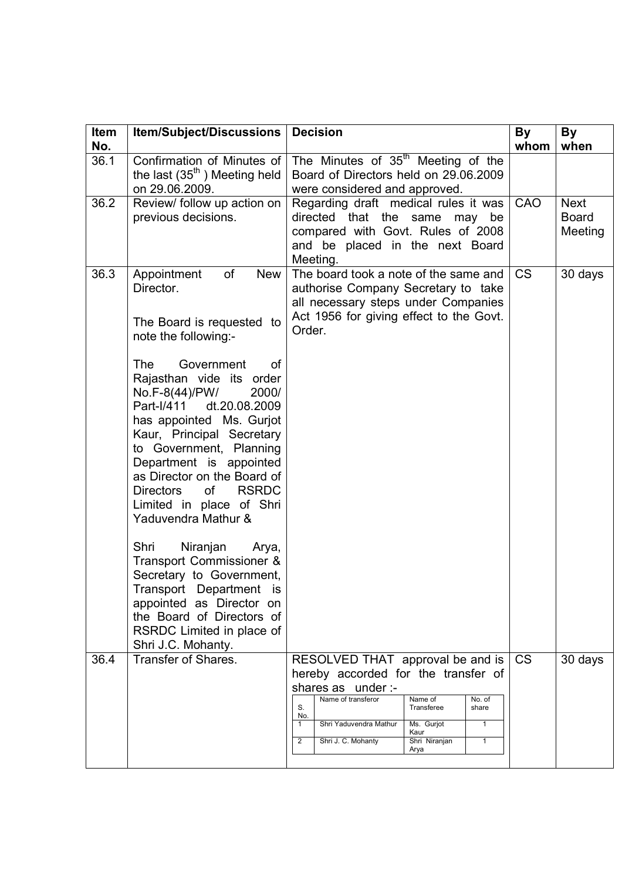| Item<br>No. | <b>Item/Subject/Discussions</b>                                                                                                                                                                                                                                                                                                                                                                                                                                                                                                                                                                                                                                            | <b>Decision</b>                                                                                                                                                                                                                 | <b>By</b><br>whom | <b>By</b><br>when                      |
|-------------|----------------------------------------------------------------------------------------------------------------------------------------------------------------------------------------------------------------------------------------------------------------------------------------------------------------------------------------------------------------------------------------------------------------------------------------------------------------------------------------------------------------------------------------------------------------------------------------------------------------------------------------------------------------------------|---------------------------------------------------------------------------------------------------------------------------------------------------------------------------------------------------------------------------------|-------------------|----------------------------------------|
| 36.1        | Confirmation of Minutes of<br>the last $(35th)$ Meeting held<br>on 29.06.2009.                                                                                                                                                                                                                                                                                                                                                                                                                                                                                                                                                                                             | The Minutes of 35 <sup>th</sup> Meeting of the<br>Board of Directors held on 29.06.2009<br>were considered and approved.                                                                                                        |                   |                                        |
| 36.2        | Review/ follow up action on<br>previous decisions.                                                                                                                                                                                                                                                                                                                                                                                                                                                                                                                                                                                                                         | Regarding draft medical rules it was<br>directed that the same may<br>be<br>compared with Govt. Rules of 2008<br>and be placed in the next Board<br>Meeting.                                                                    | CAO               | <b>Next</b><br><b>Board</b><br>Meeting |
| 36.3        | of<br>Appointment<br><b>New</b><br>Director.<br>The Board is requested to<br>note the following:-<br><b>The</b><br>Government<br>οf<br>Rajasthan vide its order<br>No.F-8(44)/PW/<br>2000/<br>Part-I/411<br>dt.20.08.2009<br>has appointed Ms. Gurjot<br>Kaur, Principal Secretary<br>to Government, Planning<br>Department is appointed<br>as Director on the Board of<br><b>RSRDC</b><br>Directors<br><b>of</b><br>Limited in place of Shri<br>Yaduvendra Mathur &<br>Shri<br>Niranjan<br>Arya,<br>Transport Commissioner &<br>Secretary to Government,<br>Transport Department is<br>appointed as Director on<br>the Board of Directors of<br>RSRDC Limited in place of | The board took a note of the same and<br>authorise Company Secretary to take<br>all necessary steps under Companies<br>Act 1956 for giving effect to the Govt.<br>Order.                                                        | <b>CS</b>         | 30 days                                |
| 36.4        | Shri J.C. Mohanty.<br><b>Transfer of Shares.</b>                                                                                                                                                                                                                                                                                                                                                                                                                                                                                                                                                                                                                           | RESOLVED THAT approval be and is<br>hereby accorded for the transfer of                                                                                                                                                         | <b>CS</b>         | 30 days                                |
|             |                                                                                                                                                                                                                                                                                                                                                                                                                                                                                                                                                                                                                                                                            | shares as under :-<br>Name of transferor<br>Name of<br>No. of<br>S.<br>Transferee<br>share<br>No.<br>Ms. Gurjot<br>Shri Yaduvendra Mathur<br>1<br>1<br>Kaur<br>Shri Niranjan<br>2<br>Shri J. C. Mohanty<br>$\mathbf{1}$<br>Arya |                   |                                        |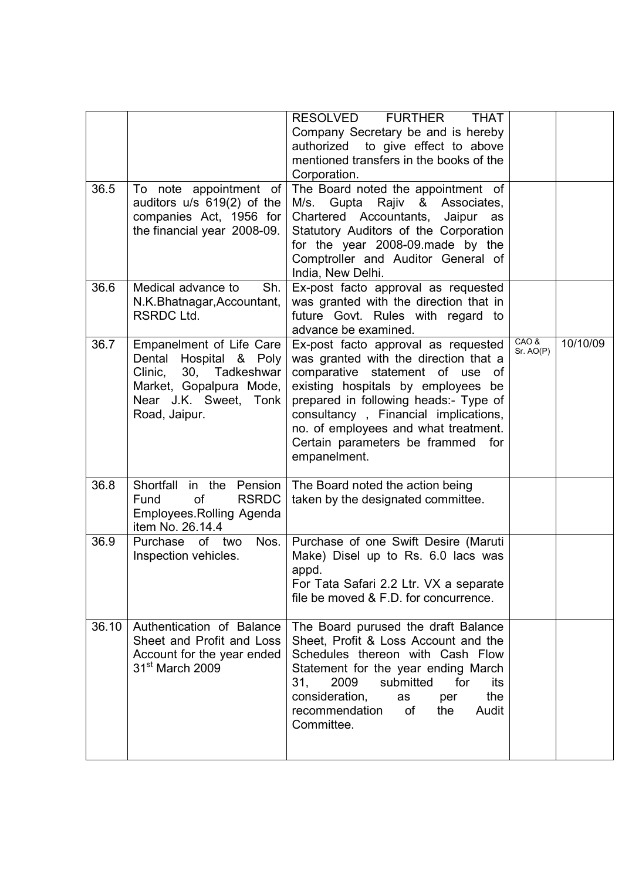| 36.5  | To note appointment of                                                                                                                                     | RESOLVED<br><b>FURTHER</b><br><b>THAT</b><br>Company Secretary be and is hereby<br>authorized to give effect to above<br>mentioned transfers in the books of the<br>Corporation.<br>The Board noted the appointment of                                                                                                                 |                   |          |
|-------|------------------------------------------------------------------------------------------------------------------------------------------------------------|----------------------------------------------------------------------------------------------------------------------------------------------------------------------------------------------------------------------------------------------------------------------------------------------------------------------------------------|-------------------|----------|
|       | auditors u/s 619(2) of the<br>companies Act, 1956 for<br>the financial year 2008-09.                                                                       | M/s. Gupta Rajiv & Associates,<br>Chartered Accountants, Jaipur as<br>Statutory Auditors of the Corporation<br>for the year 2008-09.made by the<br>Comptroller and Auditor General of<br>India, New Delhi.                                                                                                                             |                   |          |
| 36.6  | Medical advance to<br>Sh.<br>N.K.Bhatnagar, Accountant,<br><b>RSRDC Ltd.</b>                                                                               | Ex-post facto approval as requested<br>was granted with the direction that in<br>future Govt. Rules with regard to<br>advance be examined.                                                                                                                                                                                             |                   |          |
| 36.7  | Empanelment of Life Care<br>Hospital & Poly<br>Dental<br>30,<br>Tadkeshwar<br>Clinic,<br>Market, Gopalpura Mode,<br>Near J.K. Sweet, Tonk<br>Road, Jaipur. | Ex-post facto approval as requested<br>was granted with the direction that a<br>comparative statement of use of<br>existing hospitals by employees be<br>prepared in following heads:- Type of<br>consultancy, Financial implications,<br>no. of employees and what treatment.<br>Certain parameters be frammed<br>for<br>empanelment. | CAO&<br>Sr. AO(P) | 10/10/09 |
| 36.8  | Shortfall<br>in the Pension<br>of<br><b>RSRDC</b><br>Fund<br>Employees. Rolling Agenda<br>item No. 26.14.4                                                 | The Board noted the action being<br>taken by the designated committee.                                                                                                                                                                                                                                                                 |                   |          |
| 36.9  | Nos.<br>Purchase of two<br>Inspection vehicles.                                                                                                            | Purchase of one Swift Desire (Maruti<br>Make) Disel up to Rs. 6.0 lacs was<br>appd.<br>For Tata Safari 2.2 Ltr. VX a separate<br>file be moved & F.D. for concurrence.                                                                                                                                                                 |                   |          |
| 36.10 | Authentication of Balance<br>Sheet and Profit and Loss<br>Account for the year ended<br>31 <sup>st</sup> March 2009                                        | The Board purused the draft Balance<br>Sheet, Profit & Loss Account and the<br>Schedules thereon with Cash Flow<br>Statement for the year ending March<br>2009<br>submitted<br>31,<br>for<br>its<br>consideration,<br>the<br>as<br>per<br>of<br>recommendation<br>the<br>Audit<br>Committee.                                           |                   |          |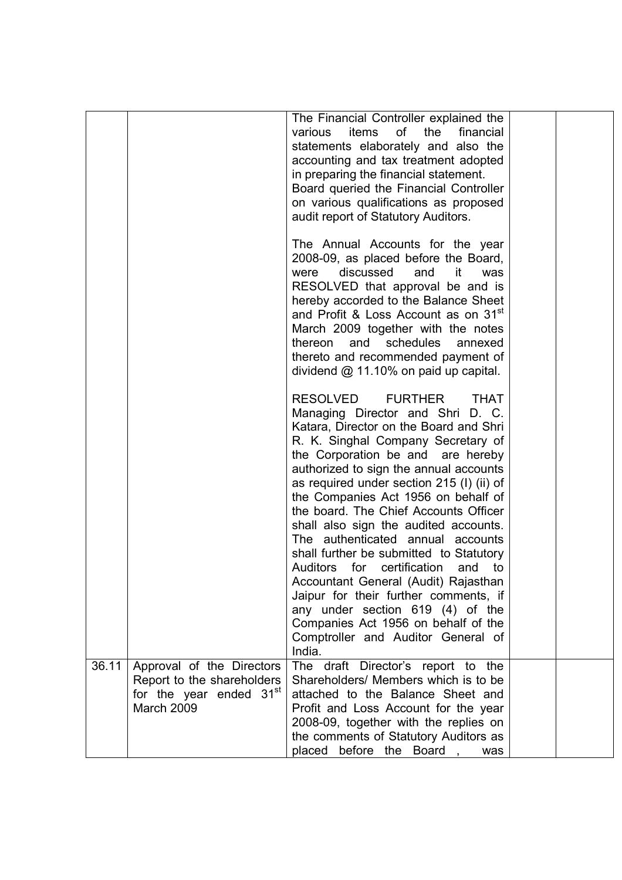|       |                                                                                                              | The Financial Controller explained the<br>of the<br>items<br>financial<br>various<br>statements elaborately and also the<br>accounting and tax treatment adopted<br>in preparing the financial statement.<br>Board queried the Financial Controller<br>on various qualifications as proposed<br>audit report of Statutory Auditors.                                                                                                                                                                                                                                                                                                                                                                                                                                 |  |
|-------|--------------------------------------------------------------------------------------------------------------|---------------------------------------------------------------------------------------------------------------------------------------------------------------------------------------------------------------------------------------------------------------------------------------------------------------------------------------------------------------------------------------------------------------------------------------------------------------------------------------------------------------------------------------------------------------------------------------------------------------------------------------------------------------------------------------------------------------------------------------------------------------------|--|
|       |                                                                                                              | The Annual Accounts for the year<br>2008-09, as placed before the Board,<br>discussed<br>and<br>it<br>were<br>was<br>RESOLVED that approval be and is<br>hereby accorded to the Balance Sheet<br>and Profit & Loss Account as on 31 <sup>st</sup><br>March 2009 together with the notes<br>and<br>thereon<br>schedules<br>annexed<br>thereto and recommended payment of<br>dividend $@$ 11.10% on paid up capital.                                                                                                                                                                                                                                                                                                                                                  |  |
|       |                                                                                                              | <b>RESOLVED</b><br><b>FURTHER</b><br><b>THAT</b><br>Managing Director and Shri D. C.<br>Katara, Director on the Board and Shri<br>R. K. Singhal Company Secretary of<br>the Corporation be and are hereby<br>authorized to sign the annual accounts<br>as required under section 215 (I) (ii) of<br>the Companies Act 1956 on behalf of<br>the board. The Chief Accounts Officer<br>shall also sign the audited accounts.<br>The authenticated annual accounts<br>shall further be submitted to Statutory<br>Auditors<br>for certification<br>and<br>to<br>Accountant General (Audit) Rajasthan<br>Jaipur for their further comments, if<br>any under section 619 (4) of the<br>Companies Act 1956 on behalf of the<br>Comptroller and Auditor General of<br>India. |  |
| 36.11 | Approval of the Directors<br>Report to the shareholders<br>for the year ended 31 <sup>st</sup><br>March 2009 | The draft Director's report to the<br>Shareholders/ Members which is to be<br>attached to the Balance Sheet and<br>Profit and Loss Account for the year<br>2008-09, together with the replies on<br>the comments of Statutory Auditors as<br>placed<br>before the Board,<br>was                                                                                                                                                                                                                                                                                                                                                                                                                                                                                     |  |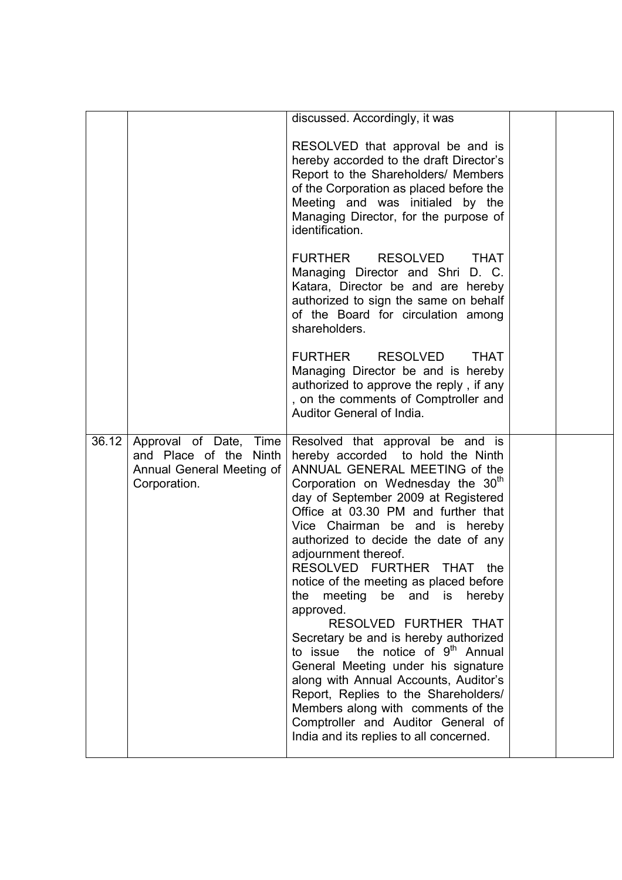|       |                                                                     | discussed. Accordingly, it was                                                                                                                                                                                                                                                                                                                                                                                                                                                                                                                                                                                                                                                                                                                                                                                                                                |  |
|-------|---------------------------------------------------------------------|---------------------------------------------------------------------------------------------------------------------------------------------------------------------------------------------------------------------------------------------------------------------------------------------------------------------------------------------------------------------------------------------------------------------------------------------------------------------------------------------------------------------------------------------------------------------------------------------------------------------------------------------------------------------------------------------------------------------------------------------------------------------------------------------------------------------------------------------------------------|--|
|       |                                                                     | RESOLVED that approval be and is<br>hereby accorded to the draft Director's<br>Report to the Shareholders/ Members<br>of the Corporation as placed before the<br>Meeting and was initialed by the<br>Managing Director, for the purpose of<br>identification.                                                                                                                                                                                                                                                                                                                                                                                                                                                                                                                                                                                                 |  |
|       |                                                                     | <b>FURTHER</b><br><b>RESOLVED</b><br><b>THAT</b><br>Managing Director and Shri D. C.<br>Katara, Director be and are hereby<br>authorized to sign the same on behalf<br>of the Board for circulation among<br>shareholders.                                                                                                                                                                                                                                                                                                                                                                                                                                                                                                                                                                                                                                    |  |
|       |                                                                     | <b>FURTHER</b><br><b>RESOLVED</b><br><b>THAT</b><br>Managing Director be and is hereby<br>authorized to approve the reply, if any<br>, on the comments of Comptroller and<br>Auditor General of India.                                                                                                                                                                                                                                                                                                                                                                                                                                                                                                                                                                                                                                                        |  |
| 36.12 | and Place of the Ninth<br>Annual General Meeting of<br>Corporation. | Approval of Date, Time Resolved that approval be and is<br>hereby accorded to hold the Ninth<br>ANNUAL GENERAL MEETING of the<br>Corporation on Wednesday the 30th<br>day of September 2009 at Registered<br>Office at 03.30 PM and further that<br>Vice Chairman be and is hereby<br>authorized to decide the date of any<br>adjournment thereof.<br>RESOLVED FURTHER<br>THAT<br>the<br>notice of the meeting as placed before<br>meeting<br>be<br>and is<br>hereby<br>the<br>approved.<br>RESOLVED FURTHER THAT<br>Secretary be and is hereby authorized<br>the notice of 9 <sup>th</sup> Annual<br>to issue<br>General Meeting under his signature<br>along with Annual Accounts, Auditor's<br>Report, Replies to the Shareholders/<br>Members along with comments of the<br>Comptroller and Auditor General of<br>India and its replies to all concerned. |  |